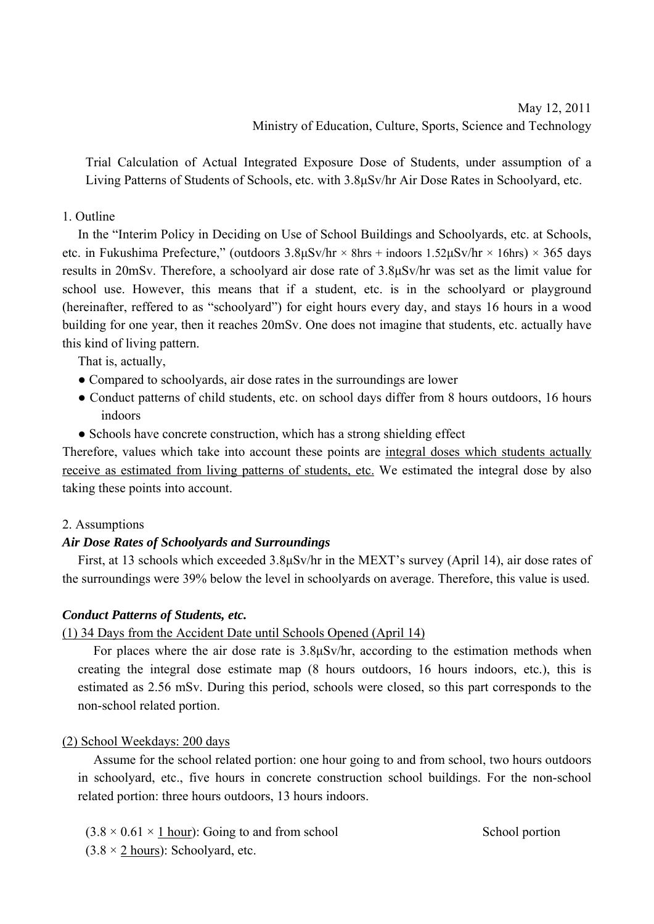# May 12, 2011 Ministry of Education, Culture, Sports, Science and Technology

Trial Calculation of Actual Integrated Exposure Dose of Students, under assumption of a Living Patterns of Students of Schools, etc. with 3.8μSv/hr Air Dose Rates in Schoolyard, etc.

#### 1. Outline

In the "Interim Policy in Deciding on Use of School Buildings and Schoolyards, etc. at Schools, etc. in Fukushima Prefecture," (outdoors  $3.8\mu Sv/hr \times 8hrs + indoors 1.52\mu Sv/hr \times 16hrs \times 365 \text{ days}$ results in 20mSv. Therefore, a schoolyard air dose rate of 3.8μSv/hr was set as the limit value for school use. However, this means that if a student, etc. is in the schoolyard or playground (hereinafter, reffered to as "schoolyard") for eight hours every day, and stays 16 hours in a wood building for one year, then it reaches 20mSv. One does not imagine that students, etc. actually have this kind of living pattern.

That is, actually,

- Compared to schoolyards, air dose rates in the surroundings are lower
- Conduct patterns of child students, etc. on school days differ from 8 hours outdoors, 16 hours indoors
- Schools have concrete construction, which has a strong shielding effect

Therefore, values which take into account these points are integral doses which students actually receive as estimated from living patterns of students, etc. We estimated the integral dose by also taking these points into account.

#### 2. Assumptions

#### *Air Dose Rates of Schoolyards and Surroundings*

First, at 13 schools which exceeded 3.8μSv/hr in the MEXT's survey (April 14), air dose rates of the surroundings were 39% below the level in schoolyards on average. Therefore, this value is used.

#### *Conduct Patterns of Students, etc.*

### (1) 34 Days from the Accident Date until Schools Opened (April 14)

For places where the air dose rate is 3.8μSv/hr, according to the estimation methods when creating the integral dose estimate map (8 hours outdoors, 16 hours indoors, etc.), this is estimated as 2.56 mSv. During this period, schools were closed, so this part corresponds to the non-school related portion.

#### (2) School Weekdays: 200 days

Assume for the school related portion: one hour going to and from school, two hours outdoors in schoolyard, etc., five hours in concrete construction school buildings. For the non-school related portion: three hours outdoors, 13 hours indoors.

 $(3.8 \times 0.61 \times 1$  hour): Going to and from school School portion  $(3.8 \times 2 \text{ hours})$ : Schoolyard, etc.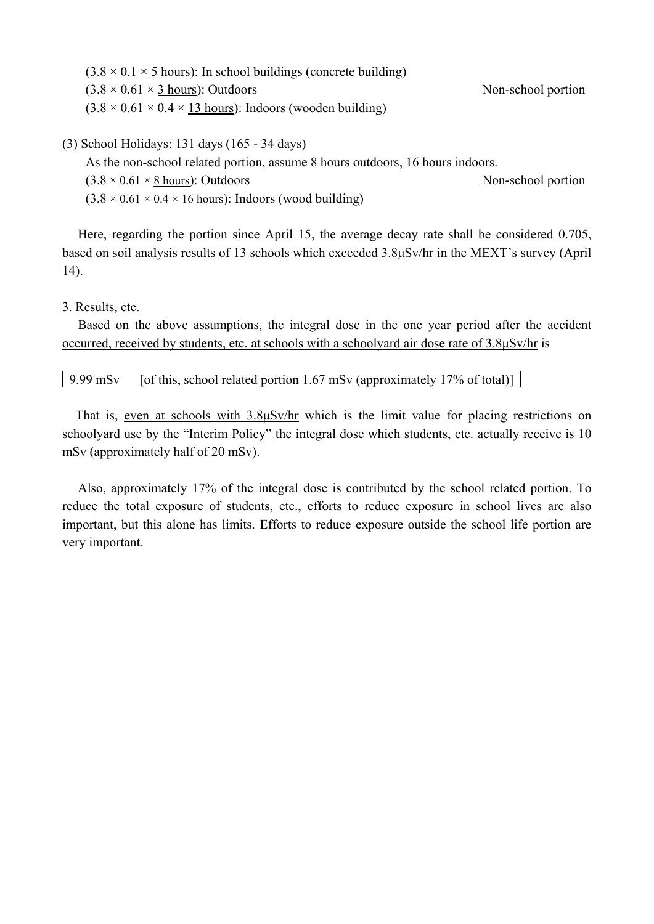| $(3.8 \times 0.1 \times 5$ hours): In school buildings (concrete building) |                    |
|----------------------------------------------------------------------------|--------------------|
| $(3.8 \times 0.61 \times 3 \text{ hours})$ : Outdoors                      | Non-school portion |
| $(3.8 \times 0.61 \times 0.4 \times 13$ hours): Indoors (wooden building)  |                    |

(3) School Holidays: 131 days (165 - 34 days)

As the non-school related portion, assume 8 hours outdoors, 16 hours indoors.

 $(3.8 \times 0.61 \times 8 \text{ hours})$ : Outdoors Non-school portion

 $(3.8 \times 0.61 \times 0.4 \times 16$  hours): Indoors (wood building)

Here, regarding the portion since April 15, the average decay rate shall be considered 0.705, based on soil analysis results of 13 schools which exceeded 3.8μSv/hr in the MEXT's survey (April 14).

3. Results, etc.

Based on the above assumptions, the integral dose in the one year period after the accident occurred, received by students, etc. at schools with a schoolyard air dose rate of 3.8μSv/hr is

#### 9.99 mSv [of this, school related portion 1.67 mSv (approximately 17% of total)]

 That is, even at schools with 3.8μSv/hr which is the limit value for placing restrictions on schoolyard use by the "Interim Policy" the integral dose which students, etc. actually receive is 10 mSv (approximately half of 20 mSv).

Also, approximately 17% of the integral dose is contributed by the school related portion. To reduce the total exposure of students, etc., efforts to reduce exposure in school lives are also important, but this alone has limits. Efforts to reduce exposure outside the school life portion are very important.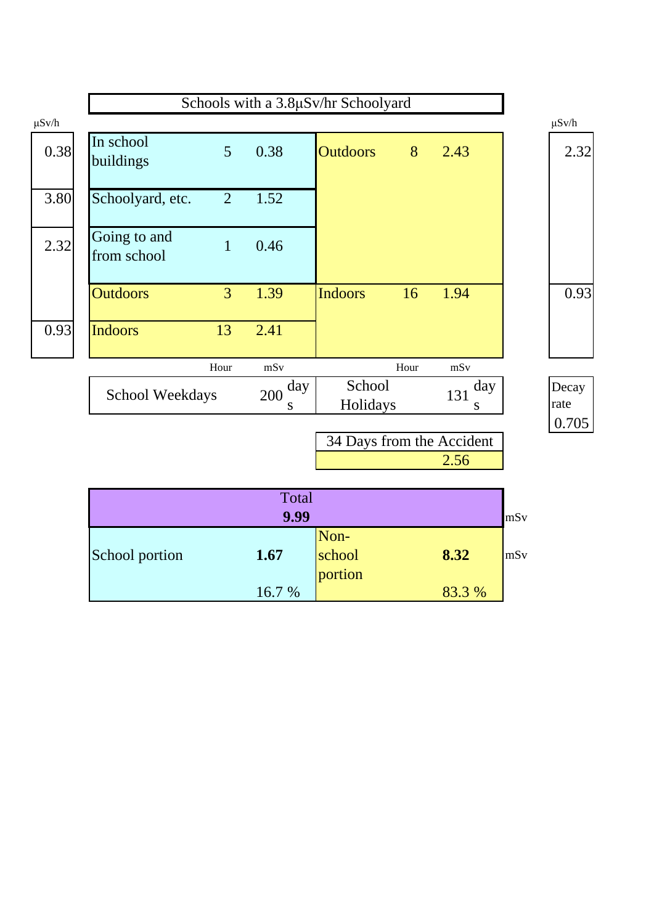

| 9.99           |       |                |        |     |
|----------------|-------|----------------|--------|-----|
| School portion | 1.67  | Non-<br>school | 8.32   | mSv |
|                | 16.7% | portion        | 83.3 % |     |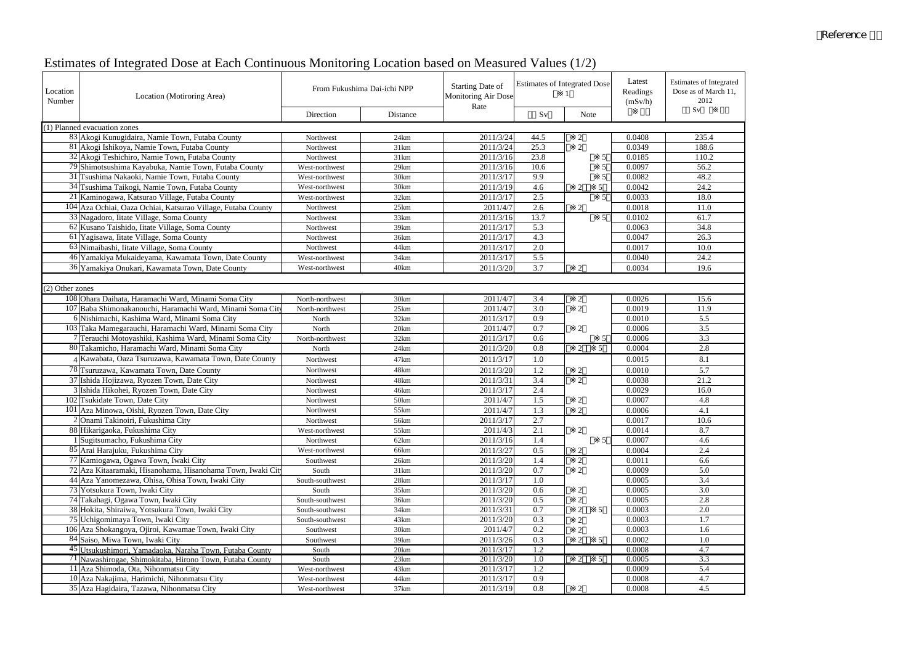# Estimates of Integrated Dose at Each Continuous Monitoring Location based on Measured Values (1/2)

# Reference

| Location<br>Number | Location (Motiroring Area)                                                | From Fukushima Dai-ichi NPP |                  | Starting Date of<br><b>Monitoring Air Dose</b><br>Rate | <b>Estimates of Integrated Dose</b> |                                  | Latest<br>Readings<br>(mSv/h) | <b>Estimates of Integrated</b><br>Dose as of March 11,<br>2012 |
|--------------------|---------------------------------------------------------------------------|-----------------------------|------------------|--------------------------------------------------------|-------------------------------------|----------------------------------|-------------------------------|----------------------------------------------------------------|
|                    |                                                                           | Direction                   | Distance         |                                                        | Sv                                  | Note                             |                               | Sv                                                             |
|                    | (1) Planned evacuation zones                                              |                             |                  |                                                        |                                     |                                  |                               |                                                                |
|                    | 83 Akogi Kunugidaira, Namie Town, Futaba County                           | Northwest                   | 24km             | 2011/3/24                                              | 44.5                                | $\overline{2}$                   | 0.0408                        | 235.4                                                          |
|                    | 81 Akogi Ishikoya, Namie Town, Futaba County                              | Northwest                   | 31km             | 2011/3/24                                              | $25.\overline{3}$                   | $\overline{2}$                   | 0.0349                        | 188.6                                                          |
|                    | 32 Akogi Teshichiro, Namie Town, Futaba County                            | Northwest                   | 31km             | 2011/3/16                                              | 23.8                                | 5                                | 0.0185                        | 110.2                                                          |
|                    | 79 Shimotsushima Kayabuka, Namie Town, Futaba County                      | West-northwest              | 29km             | 2011/3/16                                              | 10.6                                | 5                                | 0.0097                        | 56.2                                                           |
|                    | 31 Tsushima Nakaoki, Namie Town, Futaba County                            | West-northwest              | 30km             | 2011/3/17                                              | 9.9                                 | 5                                | 0.0082                        | 48.2                                                           |
|                    | 34 Tsushima Taikogi, Namie Town, Futaba County                            | West-northwest              | 30km             | 2011/3/19                                              | 4.6                                 | 5<br>$\overline{2}$              | 0.0042                        | 24.2                                                           |
|                    | 21 Kaminogawa, Katsurao Village, Futaba County                            | West-northwest              | 32km             | 2011/3/17                                              | 2.5                                 | 5 <sup>5</sup>                   | 0.0033                        | 18.0                                                           |
|                    | 104 Aza Ochiai, Oaza Ochiai, Katsurao Village, Futaba County              | Northwest                   | 25km             | 2011/4/7                                               | 2.6                                 | 2                                | 0.0018                        | 11.0                                                           |
|                    | 33 Nagadoro, Iitate Village, Soma County                                  | Northwest                   | 33km             | 2011/3/16                                              | 13.7                                | 5 <sup>5</sup>                   | 0.0102                        | 61.7                                                           |
|                    | 62 Kusano Taishido, Iitate Village, Soma County                           | Northwest                   | 39km             | 2011/3/17                                              | $\overline{5.3}$                    |                                  | 0.0063                        | 34.8                                                           |
|                    | 61 Yagisawa, Iitate Village, Soma County                                  | Northwest                   | 36km             | 2011/3/17                                              | 4.3                                 |                                  | 0.0047                        | 26.3                                                           |
|                    | 63 Nimaibashi, Iitate Village, Soma County                                | Northwest                   | 44km             | 2011/3/17                                              | 2.0                                 |                                  | 0.0017                        | 10.0                                                           |
|                    | 46 Yamakiya Mukaideyama, Kawamata Town, Date County                       | West-northwest              | 34km             | 2011/3/17                                              | $\overline{5.5}$                    |                                  | 0.0040                        | 24.2                                                           |
|                    | 36 Yamakiya Onukari, Kawamata Town, Date County                           | West-northwest              | 40km             | 2011/3/20                                              | 3.7                                 | $\mathcal{D}$                    | 0.0034                        | 19.6                                                           |
|                    |                                                                           |                             |                  |                                                        |                                     |                                  |                               |                                                                |
| (2) Other zones    |                                                                           |                             |                  |                                                        |                                     |                                  |                               |                                                                |
|                    | 108 Ohara Daihata, Haramachi Ward, Minami Soma City                       | North-northwest             | 30km             | 2011/4/7                                               | 3.4                                 | $\overline{c}$                   | 0.0026                        | 15.6                                                           |
|                    | 107 Baba Shimonakanouchi, Haramachi Ward, Minami Soma City                | North-northwest             | 25km             | 2011/4/7                                               | 3.0                                 | 2                                | 0.0019                        | 11.9                                                           |
|                    | 6 Nishimachi, Kashima Ward, Minami Soma City                              | North                       | 32km             | 2011/3/17                                              | 0.9                                 |                                  | 0.0010                        | 5.5                                                            |
|                    | 103 Taka Mamegarauchi, Haramachi Ward, Minami Soma City                   | North                       | 20km             | 2011/4/7                                               | 0.7                                 | $\overline{2}$                   | 0.0006                        | 3.5                                                            |
|                    | 7 Terauchi Motoyashiki, Kashima Ward, Minami Soma City                    | North-northwest             | 32km             | 2011/3/17                                              | 0.6                                 | 5                                | 0.0006                        | 3.3                                                            |
|                    | 80 Takamicho, Haramachi Ward, Minami Soma City                            | North                       | 24km             | 2011/3/20                                              | 0.8                                 | $\overline{2}$<br>5 <sup>1</sup> | 0.0004                        | 2.8                                                            |
|                    | Kawabata, Oaza Tsuruzawa, Kawamata Town, Date County                      | Northwest                   | 47 <sub>km</sub> | 2011/3/17                                              | 1.0                                 |                                  | 0.0015                        | 8.1                                                            |
|                    | 78 Tsuruzawa, Kawamata Town, Date County                                  |                             |                  |                                                        |                                     |                                  |                               |                                                                |
|                    |                                                                           | Northwest                   | 48km             | 2011/3/20                                              | 1.2                                 | $\overline{2}$                   | 0.0010                        | 5.7                                                            |
|                    | 37 Ishida Hojizawa, Ryozen Town, Date City                                | Northwest                   | 48km             | 2011/3/31                                              | 3.4<br>2.4                          | $\overline{2}$                   | 0.0038<br>0.0029              | 21.2                                                           |
|                    | 3 Ishida Hikohei, Ryozen Town, Date City<br>102 Tsukidate Town, Date City | Northwest<br>Northwest      | 46km<br>50km     | 2011/3/17                                              |                                     |                                  | 0.0007                        | 16.0                                                           |
|                    |                                                                           |                             |                  | 2011/4/7                                               | 1.5                                 | $\overline{2}$<br>$\mathcal{D}$  |                               | 4.8                                                            |
|                    | 101 Aza Minowa, Oishi, Ryozen Town, Date City                             | Northwest                   | 55km             | 2011/4/7                                               | 1.3                                 |                                  | 0.0006                        | 4.1                                                            |
|                    | 2 Onami Takinoiri, Fukushima City                                         | Northwest                   | 56km             | 2011/3/17                                              | 2.7                                 |                                  | 0.0017                        | 10.6<br>8.7                                                    |
|                    | 88 Hikarigaoka, Fukushima City                                            | West-northwest              | 55km             | 2011/4/3<br>2011/3/16                                  | 2.1<br>1.4                          | 2                                | 0.0014<br>0.0007              | 4.6                                                            |
|                    | 1 Sugitsumacho, Fukushima City<br>85 Arai Harajuku, Fukushima City        | Northwest                   | 62km             | 2011/3/27                                              | 0.5                                 | 5                                | 0.0004                        | 2.4                                                            |
|                    | 77 Kamiogawa, Ogawa Town, Iwaki City                                      | West-northwest              | 66km             | 2011/3/20                                              |                                     | $\mathfrak{2}$                   | 0.0011                        | 6.6                                                            |
|                    | 72 Aza Kitaaramaki, Hisanohama, Hisanohama Town, Iwaki Cit                | Southwest<br>South          | 26km<br>31km     | 2011/3/20                                              | 1.4<br>0.7                          | $\overline{c}$<br>2              | 0.0009                        | 5.0                                                            |
|                    | 44 Aza Yanomezawa, Ohisa, Ohisa Town, Iwaki City                          | South-southwest             | 28km             | 2011/3/17                                              | 1.0                                 |                                  | 0.0005                        | 3.4                                                            |
|                    | 73 Yotsukura Town, Iwaki City                                             | South                       | 35km             | 2011/3/20                                              | 0.6                                 | $\overline{c}$                   | 0.0005                        | 3.0                                                            |
|                    | 74 Takahagi, Ogawa Town, Iwaki City                                       | South-southwest             | 36km             | 2011/3/20                                              | 0.5                                 | 2                                | 0.0005                        | 2.8                                                            |
|                    | 38 Hokita, Shiraiwa, Yotsukura Town, Iwaki City                           | South-southwest             | 34km             | 2011/3/31                                              | 0.7                                 | $\overline{2}$<br>5              | 0.0003                        | 2.0                                                            |
|                    | 75 Uchigomimaya Town, Iwaki City                                          | South-southwest             | 43km             | 2011/3/20                                              | 0.3                                 | $\overline{2}$                   | 0.0003                        | 1.7                                                            |
|                    | 106 Aza Shokangoya, Ojiroi, Kawamae Town, Iwaki City                      | Southwest                   | 30km             | 2011/4/7                                               | 0.2                                 | $\overline{2}$                   | 0.0003                        | 1.6                                                            |
|                    | 84 Saiso, Miwa Town, Iwaki City                                           | Southwest                   | 39km             | 2011/3/26                                              | 0.3                                 | $\mathcal{D}$<br>5               | 0.0002                        | 1.0                                                            |
|                    | 45 Utsukushimori, Yamadaoka, Naraha Town, Futaba County                   | South                       | 20km             | 2011/3/17                                              | 1.2                                 |                                  | 0.0008                        | 4.7                                                            |
|                    | <sup>71</sup> Nawashirogae, Shimokitaba, Hirono Town, Futaba County       | South                       | 23km             | 2011/3/20                                              | 1.0                                 | 2<br>5                           | 0.0005                        | $\overline{3.3}$                                               |
|                    | 11 Aza Shimoda, Ota, Nihonmatsu City                                      | West-northwest              | 43km             | 2011/3/17                                              | 1.2                                 |                                  | 0.0009                        | 5.4                                                            |
|                    | 10 Aza Nakajima, Harimichi, Nihonmatsu City                               | West-northwest              | 44km             | 2011/3/17                                              | 0.9                                 |                                  | 0.0008                        | 4.7                                                            |
|                    | 35 Aza Hagidaira, Tazawa, Nihonmatsu City                                 | West-northwest              | 37km             | 2011/3/19                                              | 0.8                                 | $\mathfrak{2}$                   | 0.0008                        | 4.5                                                            |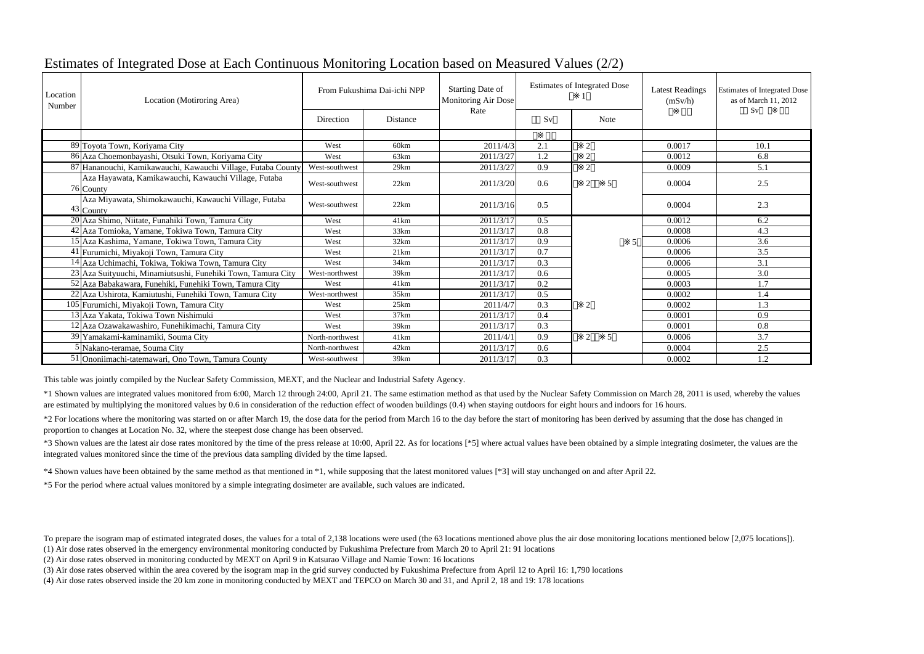# Estimates of Integrated Dose at Each Continuous Monitoring Location based on Measured Values (2/2)

\*1 Shown values are integrated values monitored from 6:00, March 12 through 24:00, April 21. The same estimation method as that used by the Nuclear Safety Commission on March 28, 2011 is used, whereby the values are estimated by multiplying the monitored values by 0.6 in consideration of the reduction effect of wooden buildings (0.4) when staying outdoors for eight hours and indoors for 16 hours.

\*4 Shown values have been obtained by the same method as that mentioned in \*1, while supposing that the latest monitored values [\*3] will stay unchanged on and after April 22.

\*5 For the period where actual values monitored by a simple integrating dosimeter are available, such values are indicated.

| Location<br>Number | Location (Motiroring Area)                                           | From Fukushima Dai-ichi NPP |                  | <b>Starting Date of</b><br>Monitoring Air Dose | <b>Estimates of Integrated Dose</b> |                | <b>Latest Readings</b><br>(mSv/h) | Estimates of Integrated Dose<br>as of March 11, 2012<br>Sv |
|--------------------|----------------------------------------------------------------------|-----------------------------|------------------|------------------------------------------------|-------------------------------------|----------------|-----------------------------------|------------------------------------------------------------|
|                    |                                                                      | Direction                   | Distance         | Rate                                           | Sv                                  | <b>Note</b>    |                                   |                                                            |
|                    |                                                                      |                             |                  |                                                |                                     |                |                                   |                                                            |
|                    | 89 Toyota Town, Koriyama City                                        | West                        | 60km             | 2011/4/3                                       | 2.1                                 | $\overline{2}$ | 0.0017                            | 10.1                                                       |
|                    | 86 Aza Choemonbayashi, Otsuki Town, Koriyama City                    | West                        | 63km             | 2011/3/27                                      | 1.2                                 |                | 0.0012                            | 6.8                                                        |
|                    | 87 Hananouchi, Kamikawauchi, Kawauchi Village, Futaba County         | West-southwest              | 29km             | 2011/3/27                                      | 0.9                                 | 2              | 0.0009                            | 5.1                                                        |
|                    | Aza Hayawata, Kamikawauchi, Kawauchi Village, Futaba<br>76 County    | West-southwest              | 22km             | 2011/3/20                                      | 0.6                                 | 2<br>-5        | 0.0004                            | 2.5                                                        |
|                    | Aza Miyawata, Shimokawauchi, Kawauchi Village, Futaba<br>$43$ County | West-southwest              | 22km             | 2011/3/16                                      | 0.5                                 |                | 0.0004                            | 2.3                                                        |
|                    | 20 Aza Shimo, Niitate, Funahiki Town, Tamura City                    | West                        | 41km             | 2011/3/17                                      | 0.5                                 |                | 0.0012                            | 6.2                                                        |
|                    | 42 Aza Tomioka, Yamane, Tokiwa Town, Tamura City                     | West                        | 33km             | 2011/3/17                                      | 0.8                                 |                | 0.0008                            | 4.3                                                        |
|                    | 15 Aza Kashima, Yamane, Tokiwa Town, Tamura City                     | West                        | 32km             | 2011/3/17                                      | 0.9                                 | .5             | 0.0006                            | 3.6                                                        |
|                    | 41 Furumichi, Miyakoji Town, Tamura City                             | West                        | 21km             | 2011/3/17                                      | 0.7                                 |                | 0.0006                            | 3.5                                                        |
|                    | 14 Aza Uchimachi, Tokiwa, Tokiwa Town, Tamura City                   | West                        | 34km             | 2011/3/17                                      | 0.3                                 |                | 0.0006                            | 3.1                                                        |
|                    | 23 Aza Suityuuchi, Minamiutsushi, Funehiki Town, Tamura City         | West-northwest              | 39km             | 2011/3/17                                      | 0.6                                 |                | 0.0005                            | 3.0                                                        |
|                    | 52 Aza Babakawara, Funehiki, Funehiki Town, Tamura City              | West                        | 41km             | 2011/3/17                                      | 0.2                                 |                | 0.0003                            | 1.7                                                        |
|                    | 22 Aza Ushirota, Kamiutushi, Funehiki Town, Tamura City              | West-northwest              | 35km             | 2011/3/17                                      | 0.5                                 |                | 0.0002                            | 1.4                                                        |
|                    | 105 Furumichi, Miyakoji Town, Tamura City                            | West                        | 25km             | 2011/4/7                                       | 0.3                                 | $\overline{2}$ | 0.0002                            | 1.3                                                        |
|                    | 13 Aza Yakata, Tokiwa Town Nishimuki                                 | West                        | 37km             | 2011/3/17                                      | 0.4                                 |                | 0.0001                            | 0.9                                                        |
|                    | 12 Aza Ozawakawashiro, Funehikimachi, Tamura City                    | West                        | 39km             | 2011/3/17                                      | 0.3                                 |                | 0.0001                            | 0.8                                                        |
|                    | 39 Yamakami-kaminamiki, Souma City                                   | North-northwest             | 41 <sub>km</sub> | 2011/4/1                                       | 0.9                                 | 2<br>-5        | 0.0006                            | 3.7                                                        |
|                    | 5 Nakano-teramae, Souma City                                         | North-northwest             | 42km             | 2011/3/17                                      | 0.6                                 |                | 0.0004                            | 2.5                                                        |
|                    | 51 Ononiimachi-tatemawari, Ono Town, Tamura County                   | West-southwest              | 39km             | 2011/3/17                                      | 0.3                                 |                | 0.0002                            | 1.2                                                        |

To prepare the isogram map of estimated integrated doses, the values for a total of 2,138 locations were used (the 63 locations mentioned above plus the air dose monitoring locations mentioned below [2,075 locations]). (1) Air dose rates observed in the emergency environmental monitoring conducted by Fukushima Prefecture from March 20 to April 21: 91 locations

(2) Air dose rates observed in monitoring conducted by MEXT on April 9 in Katsurao Village and Namie Town: 16 locations

(3) Air dose rates observed within the area covered by the isogram map in the grid survey conducted by Fukushima Prefecture from April 12 to April 16: 1,790 locations

(4) Air dose rates observed inside the 20 km zone in monitoring conducted by MEXT and TEPCO on March 30 and 31, and April 2, 18 and 19: 178 locations

\*2 For locations where the monitoring was started on or after March 19, the dose data for the period from March 16 to the day before the start of monitoring has been derived by assuming that the dose has changed in proportion to changes at Location No. 32, where the steepest dose change has been observed.

\*3 Shown values are the latest air dose rates monitored by the time of the press release at 10:00, April 22. As for locations [\*5] where actual values have been obtained by a simple integrating dosimeter, the values are the integrated values monitored since the time of the previous data sampling divided by the time lapsed.

This table was jointly compiled by the Nuclear Safety Commission, MEXT, and the Nuclear and Industrial Safety Agency.